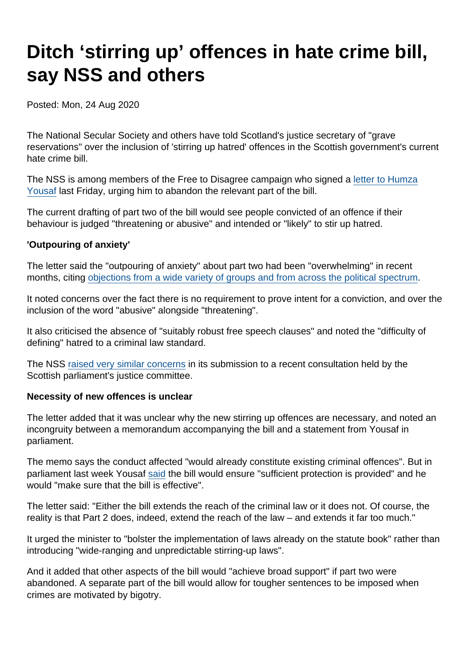# Ditch 'stirring up' offences in hate crime bill, say NSS and others

Posted: Mon, 24 Aug 2020

The National Secular Society and others have told Scotland's justice secretary of "grave reservations" over the inclusion of 'stirring up hatred' offences in the Scottish government's current hate crime bill.

The NSS is among members of the Free to Disagree campaign who signed a [letter to Humza](https://freetodisagree.scot/free-to-disagree-letter-to-the-justice-secretary/) [Yousaf](https://freetodisagree.scot/free-to-disagree-letter-to-the-justice-secretary/) last Friday, urging him to abandon the relevant part of the bill.

The current drafting of part two of the bill would see people convicted of an offence if their behaviour is judged "threatening or abusive" and intended or "likely" to stir up hatred.

'Outpouring of anxiety'

The letter said the "outpouring of anxiety" about part two had been "overwhelming" in recent months, citing [objections from a wide variety of groups and from across the political spectrum](https://www.secularism.org.uk/news/2020/07/widespread-concern-over-hate-crime-bill-must-prompt-rethink-says-nss).

It noted concerns over the fact there is no requirement to prove intent for a conviction, and over the inclusion of the word "abusive" alongside "threatening".

It also criticised the absence of "suitably robust free speech clauses" and noted the "difficulty of defining" hatred to a criminal law standard.

The NSS [raised very similar concerns](https://www.secularism.org.uk/news/2020/07/dont-erode-free-speech-nss-warns-scottish-parliament) in its submission to a recent consultation held by the Scottish parliament's justice committee.

Necessity of new offences is unclear

The letter added that it was unclear why the new stirring up offences are necessary, and noted an incongruity between a memorandum accompanying the bill and a statement from Yousaf in parliament.

The memo says the conduct affected "would already constitute existing criminal offences". But in parliament last week Yousaf [said](http://www.parliament.scot/parliamentarybusiness/report.aspx?r=12750) the bill would ensure "sufficient protection is provided" and he would "make sure that the bill is effective".

The letter said: "Either the bill extends the reach of the criminal law or it does not. Of course, the reality is that Part 2 does, indeed, extend the reach of the law – and extends it far too much."

It urged the minister to "bolster the implementation of laws already on the statute book" rather than introducing "wide-ranging and unpredictable stirring-up laws".

And it added that other aspects of the bill would "achieve broad support" if part two were abandoned. A separate part of the bill would allow for tougher sentences to be imposed when crimes are motivated by bigotry.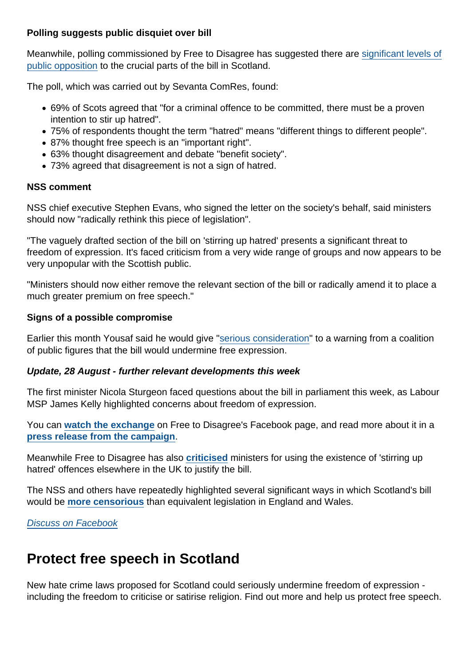Polling suggests public disquiet over bill

Meanwhile, polling commissioned by Free to Disagree has suggested there are [significant levels of](https://www.scotsman.com/news/politics/majority-scots-oppose-new-hate-crime-laws-poll-suggests-2950314) [public opposition](https://www.scotsman.com/news/politics/majority-scots-oppose-new-hate-crime-laws-poll-suggests-2950314) to the crucial parts of the bill in Scotland.

The poll, which was carried out by Sevanta ComRes, found:

- 69% of Scots agreed that "for a criminal offence to be committed, there must be a proven intention to stir up hatred".
- 75% of respondents thought the term "hatred" means "different things to different people".
- 87% thought free speech is an "important right".
- 63% thought disagreement and debate "benefit society".
- 73% agreed that disagreement is not a sign of hatred.

#### NSS comment

NSS chief executive Stephen Evans, who signed the letter on the society's behalf, said ministers should now "radically rethink this piece of legislation".

"The vaguely drafted section of the bill on 'stirring up hatred' presents a significant threat to freedom of expression. It's faced criticism from a very wide range of groups and now appears to be very unpopular with the Scottish public.

"Ministers should now either remove the relevant section of the bill or radically amend it to place a much greater premium on free speech."

Signs of a possible compromise

Earlier this month Yousaf said he would give "[serious consideration](https://www.secularism.org.uk/news/2020/08/minister-will-seriously-consider-concern-over-hate-crime-bill)" to a warning from a coalition of public figures that the bill would undermine free expression.

Update, 28 August - further relevant developments this week

The first minister Nicola Sturgeon faced questions about the bill in parliament this week, as Labour MSP James Kelly highlighted concerns about freedom of expression.

You can [watch the exchange](https://www.facebook.com/watch/?v=304256950831821) on Free to Disagree's Facebook page, and read more about it in a [press release from the campaign](https://freetodisagree.scot/press_releases/government-must-make-good-on-pledge-to-respond-to-hate-crime-bill-concerns/) .

Meanwhile Free to Disagree has also [criticised](https://freetodisagree.scot/press_releases/government-media-statements-on-hate-crime-bill-inaccurate/) ministers for using the existence of 'stirring up hatred' offences elsewhere in the UK to justify the bill.

The NSS and others have repeatedly highlighted several significant ways in which Scotland's bill would be [more censorious](https://twitter.com/NatSecSoc/status/1298264880097529862) than equivalent legislation in England and Wales.

[Discuss on Facebook](https://www.facebook.com/NationalSecularSociety/posts/3251143604953968?__xts__[0]=68.ARBhiMLPG73Gv7xYbbCZeG0-I9ZAYTzkgq5FoqiDezXpCtK_BLaeBfstlvWbLqDcooXp9yEYorVFqzblltgSi2YZKDcf5XDGb2FuInox4dgurCkEZOpJVWu0oLfKwCCWzrO_aQRUzuOCT-hiGXTOlOhCMzJUC-9WvvOARaKFoENwSd-MxyrXeY3KaD7RLqFJH3G10wjUhu-xTtcl1790y9bEhX2HKsaU-XYdmPJFVjChUXsAUIM51zYaz8WVFREg1ChtnLucB9nERTBhFZbWMoa89EtmnFugkhcestpFDPyv2iVe2Kq51r5s4-pjAonxnwRwQiUaerANhtM0G-h-qORJNA&__tn__=-R)

## Protect free speech in Scotland

New hate crime laws proposed for Scotland could seriously undermine freedom of expression including the freedom to criticise or satirise religion. Find out more and help us protect free speech.